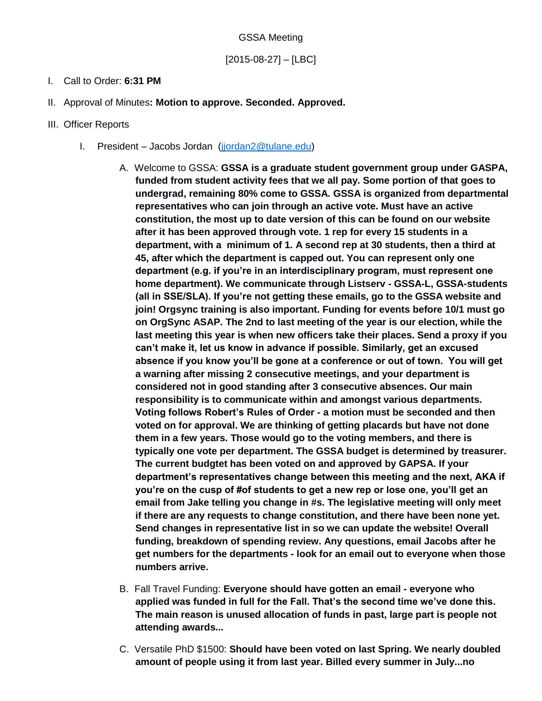GSSA Meeting

## [2015-08-27] – [LBC]

## I. Call to Order: **6:31 PM**

- II. Approval of Minutes**: Motion to approve. Seconded. Approved.**
- III. Officer Reports
	- I. President Jacobs Jordan [\(jjordan2@tulane.edu\)](mailto:jjordan2@tulane.edu)
		- A. Welcome to GSSA: **GSSA is a graduate student government group under GASPA, funded from student activity fees that we all pay. Some portion of that goes to undergrad, remaining 80% come to GSSA. GSSA is organized from departmental representatives who can join through an active vote. Must have an active constitution, the most up to date version of this can be found on our website after it has been approved through vote. 1 rep for every 15 students in a department, with a minimum of 1. A second rep at 30 students, then a third at 45, after which the department is capped out. You can represent only one department (e.g. if you're in an interdisciplinary program, must represent one home department). We communicate through Listserv - GSSA-L, GSSA-students (all in SSE/SLA). If you're not getting these emails, go to the GSSA website and join! Orgsync training is also important. Funding for events before 10/1 must go on OrgSync ASAP. The 2nd to last meeting of the year is our election, while the last meeting this year is when new officers take their places. Send a proxy if you can't make it, let us know in advance if possible. Similarly, get an excused absence if you know you'll be gone at a conference or out of town. You will get a warning after missing 2 consecutive meetings, and your department is considered not in good standing after 3 consecutive absences. Our main responsibility is to communicate within and amongst various departments. Voting follows Robert's Rules of Order - a motion must be seconded and then voted on for approval. We are thinking of getting placards but have not done them in a few years. Those would go to the voting members, and there is typically one vote per department. The GSSA budget is determined by treasurer. The current budgtet has been voted on and approved by GAPSA. If your department's representatives change between this meeting and the next, AKA if you're on the cusp of #of students to get a new rep or lose one, you'll get an email from Jake telling you change in #s. The legislative meeting will only meet if there are any requests to change constitution, and there have been none yet. Send changes in representative list in so we can update the website! Overall funding, breakdown of spending review. Any questions, email Jacobs after he get numbers for the departments - look for an email out to everyone when those numbers arrive.**
		- B. Fall Travel Funding: **Everyone should have gotten an email - everyone who applied was funded in full for the Fall. That's the second time we've done this. The main reason is unused allocation of funds in past, large part is people not attending awards...**
		- C. Versatile PhD \$1500: **Should have been voted on last Spring. We nearly doubled amount of people using it from last year. Billed every summer in July...no**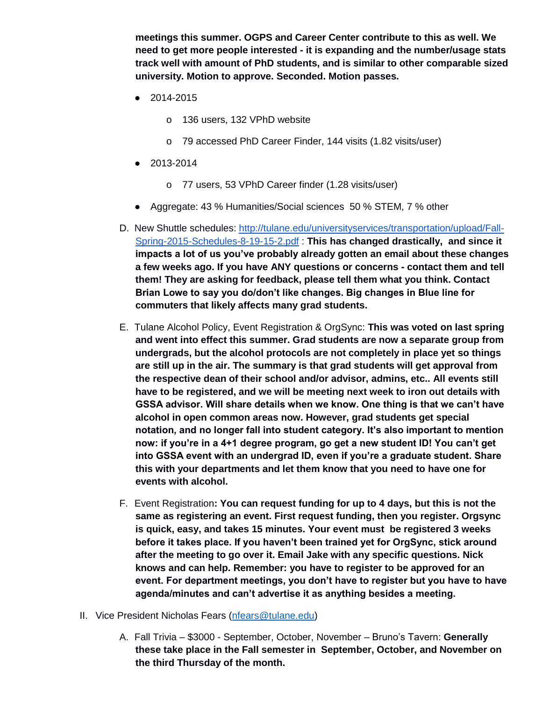**meetings this summer. OGPS and Career Center contribute to this as well. We need to get more people interested - it is expanding and the number/usage stats track well with amount of PhD students, and is similar to other comparable sized university. Motion to approve. Seconded. Motion passes.**

- 2014-2015
	- o 136 users, 132 VPhD website
	- o 79 accessed PhD Career Finder, 144 visits (1.82 visits/user)
- 2013-2014
	- o 77 users, 53 VPhD Career finder (1.28 visits/user)
- Aggregate: 43 % Humanities/Social sciences 50 % STEM, 7 % other
- D. New Shuttle schedules: [http://tulane.edu/universityservices/transportation/upload/Fall-](http://tulane.edu/universityservices/transportation/upload/Fall-Spring-2015-Schedules-8-19-15-2.pdf)[Spring-2015-Schedules-8-19-15-2.pdf](http://tulane.edu/universityservices/transportation/upload/Fall-Spring-2015-Schedules-8-19-15-2.pdf) : **This has changed drastically, and since it impacts a lot of us you've probably already gotten an email about these changes a few weeks ago. If you have ANY questions or concerns - contact them and tell them! They are asking for feedback, please tell them what you think. Contact Brian Lowe to say you do/don't like changes. Big changes in Blue line for commuters that likely affects many grad students.**
- E. Tulane Alcohol Policy, Event Registration & OrgSync: **This was voted on last spring and went into effect this summer. Grad students are now a separate group from undergrads, but the alcohol protocols are not completely in place yet so things are still up in the air. The summary is that grad students will get approval from the respective dean of their school and/or advisor, admins, etc.. All events still have to be registered, and we will be meeting next week to iron out details with GSSA advisor. Will share details when we know. One thing is that we can't have alcohol in open common areas now. However, grad students get special notation, and no longer fall into student category. It's also important to mention now: if you're in a 4+1 degree program, go get a new student ID! You can't get into GSSA event with an undergrad ID, even if you're a graduate student. Share this with your departments and let them know that you need to have one for events with alcohol.**
- F. Event Registration**: You can request funding for up to 4 days, but this is not the same as registering an event. First request funding, then you register. Orgsync is quick, easy, and takes 15 minutes. Your event must be registered 3 weeks before it takes place. If you haven't been trained yet for OrgSync, stick around after the meeting to go over it. Email Jake with any specific questions. Nick knows and can help. Remember: you have to register to be approved for an event. For department meetings, you don't have to register but you have to have agenda/minutes and can't advertise it as anything besides a meeting.**
- II. Vice President Nicholas Fears [\(nfears@tulane.edu\)](mailto:nfears@tulane.edu)
	- A. Fall Trivia \$3000 September, October, November Bruno's Tavern: **Generally these take place in the Fall semester in September, October, and November on the third Thursday of the month.**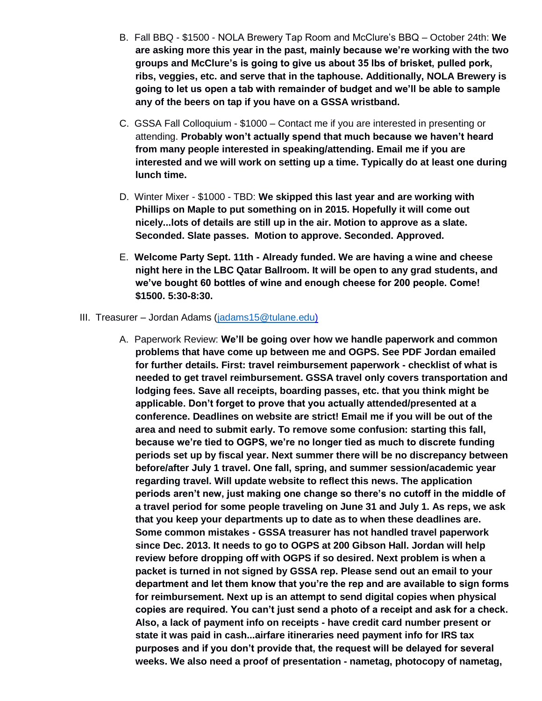- B. Fall BBQ \$1500 NOLA Brewery Tap Room and McClure's BBQ October 24th: **We are asking more this year in the past, mainly because we're working with the two groups and McClure's is going to give us about 35 lbs of brisket, pulled pork, ribs, veggies, etc. and serve that in the taphouse. Additionally, NOLA Brewery is going to let us open a tab with remainder of budget and we'll be able to sample any of the beers on tap if you have on a GSSA wristband.**
- C. GSSA Fall Colloquium \$1000 Contact me if you are interested in presenting or attending. **Probably won't actually spend that much because we haven't heard from many people interested in speaking/attending. Email me if you are interested and we will work on setting up a time. Typically do at least one during lunch time.**
- D. Winter Mixer \$1000 TBD: **We skipped this last year and are working with Phillips on Maple to put something on in 2015. Hopefully it will come out nicely...lots of details are still up in the air. Motion to approve as a slate. Seconded. Slate passes. Motion to approve. Seconded. Approved.**
- E. **Welcome Party Sept. 11th - Already funded. We are having a wine and cheese night here in the LBC Qatar Ballroom. It will be open to any grad students, and we've bought 60 bottles of wine and enough cheese for 200 people. Come! \$1500. 5:30-8:30.**

## III. Treasurer – Jordan Adams [\(jadams15@tulane.edu\)](mailto:jadams15@tulane.edu)

A. Paperwork Review: **We'll be going over how we handle paperwork and common problems that have come up between me and OGPS. See PDF Jordan emailed for further details. First: travel reimbursement paperwork - checklist of what is needed to get travel reimbursement. GSSA travel only covers transportation and lodging fees. Save all receipts, boarding passes, etc. that you think might be applicable. Don't forget to prove that you actually attended/presented at a conference. Deadlines on website are strict! Email me if you will be out of the area and need to submit early. To remove some confusion: starting this fall, because we're tied to OGPS, we're no longer tied as much to discrete funding periods set up by fiscal year. Next summer there will be no discrepancy between before/after July 1 travel. One fall, spring, and summer session/academic year regarding travel. Will update website to reflect this news. The application periods aren't new, just making one change so there's no cutoff in the middle of a travel period for some people traveling on June 31 and July 1. As reps, we ask that you keep your departments up to date as to when these deadlines are. Some common mistakes - GSSA treasurer has not handled travel paperwork since Dec. 2013. It needs to go to OGPS at 200 Gibson Hall. Jordan will help review before dropping off with OGPS if so desired. Next problem is when a packet is turned in not signed by GSSA rep. Please send out an email to your department and let them know that you're the rep and are available to sign forms for reimbursement. Next up is an attempt to send digital copies when physical copies are required. You can't just send a photo of a receipt and ask for a check. Also, a lack of payment info on receipts - have credit card number present or state it was paid in cash...airfare itineraries need payment info for IRS tax purposes and if you don't provide that, the request will be delayed for several weeks. We also need a proof of presentation - nametag, photocopy of nametag,**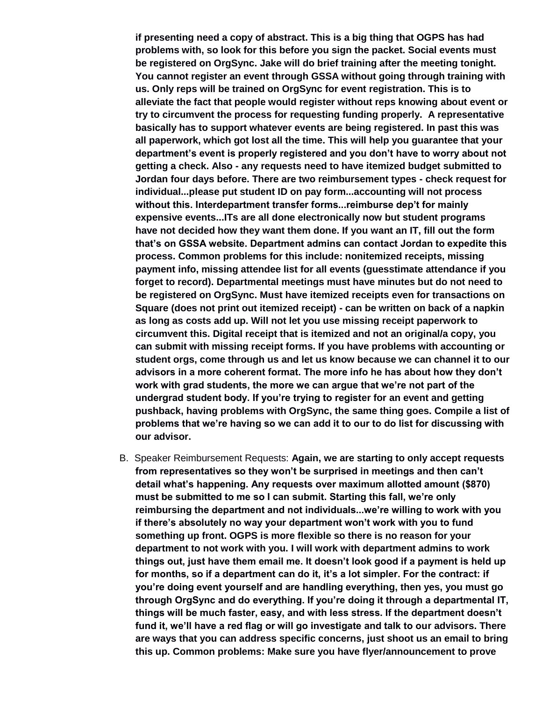**if presenting need a copy of abstract. This is a big thing that OGPS has had problems with, so look for this before you sign the packet. Social events must be registered on OrgSync. Jake will do brief training after the meeting tonight. You cannot register an event through GSSA without going through training with us. Only reps will be trained on OrgSync for event registration. This is to alleviate the fact that people would register without reps knowing about event or try to circumvent the process for requesting funding properly. A representative basically has to support whatever events are being registered. In past this was all paperwork, which got lost all the time. This will help you guarantee that your department's event is properly registered and you don't have to worry about not getting a check. Also - any requests need to have itemized budget submitted to Jordan four days before. There are two reimbursement types - check request for individual...please put student ID on pay form...accounting will not process without this. Interdepartment transfer forms...reimburse dep't for mainly expensive events...ITs are all done electronically now but student programs have not decided how they want them done. If you want an IT, fill out the form that's on GSSA website. Department admins can contact Jordan to expedite this process. Common problems for this include: nonitemized receipts, missing payment info, missing attendee list for all events (guesstimate attendance if you forget to record). Departmental meetings must have minutes but do not need to be registered on OrgSync. Must have itemized receipts even for transactions on Square (does not print out itemized receipt) - can be written on back of a napkin as long as costs add up. Will not let you use missing receipt paperwork to circumvent this. Digital receipt that is itemized and not an original/a copy, you can submit with missing receipt forms. If you have problems with accounting or student orgs, come through us and let us know because we can channel it to our advisors in a more coherent format. The more info he has about how they don't work with grad students, the more we can argue that we're not part of the undergrad student body. If you're trying to register for an event and getting pushback, having problems with OrgSync, the same thing goes. Compile a list of problems that we're having so we can add it to our to do list for discussing with our advisor.** 

B. Speaker Reimbursement Requests: **Again, we are starting to only accept requests from representatives so they won't be surprised in meetings and then can't detail what's happening. Any requests over maximum allotted amount (\$870) must be submitted to me so I can submit. Starting this fall, we're only reimbursing the department and not individuals...we're willing to work with you if there's absolutely no way your department won't work with you to fund something up front. OGPS is more flexible so there is no reason for your department to not work with you. I will work with department admins to work things out, just have them email me. It doesn't look good if a payment is held up for months, so if a department can do it, it's a lot simpler. For the contract: if you're doing event yourself and are handling everything, then yes, you must go through OrgSync and do everything. If you're doing it through a departmental IT, things will be much faster, easy, and with less stress. If the department doesn't fund it, we'll have a red flag or will go investigate and talk to our advisors. There are ways that you can address specific concerns, just shoot us an email to bring this up. Common problems: Make sure you have flyer/announcement to prove**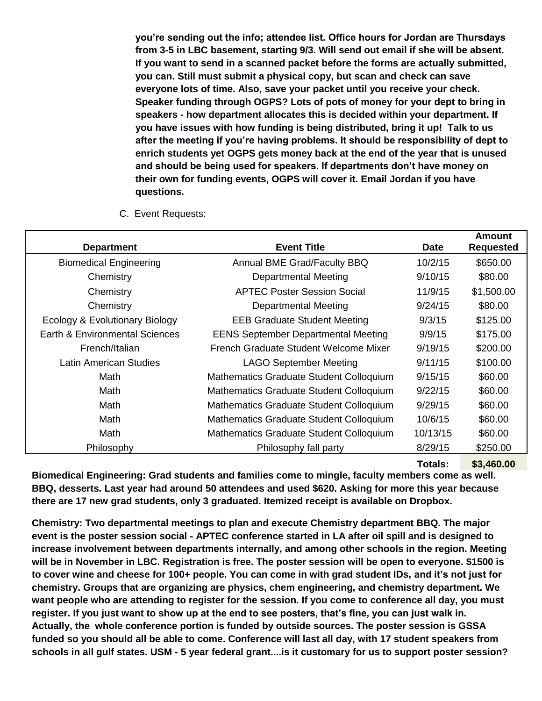**you're sending out the info; attendee list. Office hours for Jordan are Thursdays from 3-5 in LBC basement, starting 9/3. Will send out email if she will be absent. If you want to send in a scanned packet before the forms are actually submitted, you can. Still must submit a physical copy, but scan and check can save everyone lots of time. Also, save your packet until you receive your check. Speaker funding through OGPS? Lots of pots of money for your dept to bring in speakers - how department allocates this is decided within your department. If you have issues with how funding is being distributed, bring it up! Talk to us after the meeting if you're having problems. It should be responsibility of dept to enrich students yet OGPS gets money back at the end of the year that is unused and should be being used for speakers. If departments don't have money on their own for funding events, OGPS will cover it. Email Jordan if you have questions.**

| <b>Department</b>              | <b>Event Title</b>                         | <b>Date</b> | <b>Amount</b><br><b>Requested</b> |
|--------------------------------|--------------------------------------------|-------------|-----------------------------------|
| <b>Biomedical Engineering</b>  | Annual BME Grad/Faculty BBQ                | 10/2/15     | \$650.00                          |
|                                |                                            |             |                                   |
| Chemistry                      | Departmental Meeting                       | 9/10/15     | \$80.00                           |
| Chemistry                      | <b>APTEC Poster Session Social</b>         | 11/9/15     | \$1,500.00                        |
| Chemistry                      | <b>Departmental Meeting</b>                | 9/24/15     | \$80.00                           |
| Ecology & Evolutionary Biology | <b>EEB Graduate Student Meeting</b>        | 9/3/15      | \$125.00                          |
| Earth & Environmental Sciences | <b>EENS September Departmental Meeting</b> | 9/9/15      | \$175.00                          |
| French/Italian                 | French Graduate Student Welcome Mixer      | 9/19/15     | \$200.00                          |
| Latin American Studies         | <b>LAGO September Meeting</b>              | 9/11/15     | \$100.00                          |
| Math                           | Mathematics Graduate Student Colloquium    | 9/15/15     | \$60.00                           |
| Math                           | Mathematics Graduate Student Colloquium    | 9/22/15     | \$60.00                           |
| Math                           | Mathematics Graduate Student Colloquium    | 9/29/15     | \$60.00                           |
| Math                           | Mathematics Graduate Student Colloquium    | 10/6/15     | \$60.00                           |
| Math                           | Mathematics Graduate Student Colloquium    | 10/13/15    | \$60.00                           |
| Philosophy                     | Philosophy fall party                      | 8/29/15     | \$250.00                          |
|                                |                                            |             |                                   |

C. Event Requests:

**Totals: \$3,460.00** 

**Biomedical Engineering: Grad students and families come to mingle, faculty members come as well. BBQ, desserts. Last year had around 50 attendees and used \$620. Asking for more this year because there are 17 new grad students, only 3 graduated. Itemized receipt is available on Dropbox.** 

**Chemistry: Two departmental meetings to plan and execute Chemistry department BBQ. The major event is the poster session social - APTEC conference started in LA after oil spill and is designed to increase involvement between departments internally, and among other schools in the region. Meeting will be in November in LBC. Registration is free. The poster session will be open to everyone. \$1500 is to cover wine and cheese for 100+ people. You can come in with grad student IDs, and it's not just for chemistry. Groups that are organizing are physics, chem engineering, and chemistry department. We want people who are attending to register for the session. If you come to conference all day, you must register. If you just want to show up at the end to see posters, that's fine, you can just walk in. Actually, the whole conference portion is funded by outside sources. The poster session is GSSA funded so you should all be able to come. Conference will last all day, with 17 student speakers from schools in all gulf states. USM - 5 year federal grant....is it customary for us to support poster session?**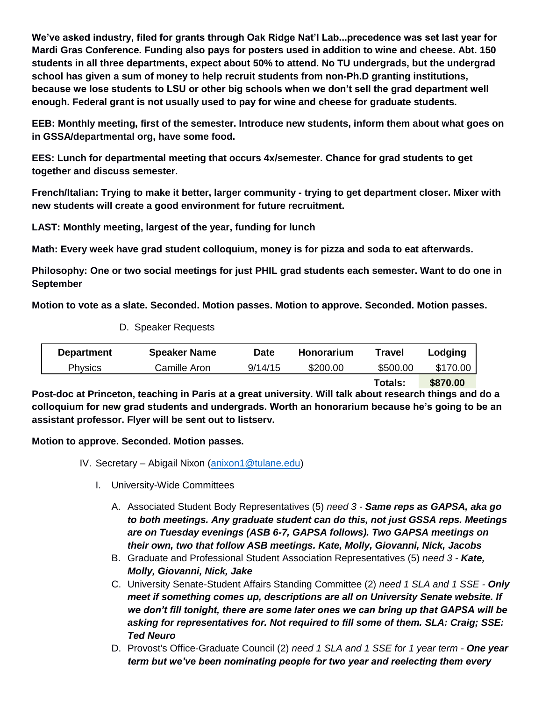**We've asked industry, filed for grants through Oak Ridge Nat'l Lab...precedence was set last year for Mardi Gras Conference. Funding also pays for posters used in addition to wine and cheese. Abt. 150 students in all three departments, expect about 50% to attend. No TU undergrads, but the undergrad school has given a sum of money to help recruit students from non-Ph.D granting institutions, because we lose students to LSU or other big schools when we don't sell the grad department well enough. Federal grant is not usually used to pay for wine and cheese for graduate students.** 

**EEB: Monthly meeting, first of the semester. Introduce new students, inform them about what goes on in GSSA/departmental org, have some food.** 

**EES: Lunch for departmental meeting that occurs 4x/semester. Chance for grad students to get together and discuss semester.** 

**French/Italian: Trying to make it better, larger community - trying to get department closer. Mixer with new students will create a good environment for future recruitment.** 

**LAST: Monthly meeting, largest of the year, funding for lunch**

**Math: Every week have grad student colloquium, money is for pizza and soda to eat afterwards.** 

**Philosophy: One or two social meetings for just PHIL grad students each semester. Want to do one in September**

**Motion to vote as a slate. Seconded. Motion passes. Motion to approve. Seconded. Motion passes.**

D. Speaker Requests

| <b>Department</b> | <b>Speaker Name</b> | Date    | <b>Honorarium</b> | Travel   | Lodging  |
|-------------------|---------------------|---------|-------------------|----------|----------|
| <b>Physics</b>    | Camille Aron        | 9/14/15 | \$200.00          | \$500.00 | \$170.00 |
|                   |                     |         |                   | Totals:  | \$870.00 |

**Post-doc at Princeton, teaching in Paris at a great university. Will talk about research things and do a colloquium for new grad students and undergrads. Worth an honorarium because he's going to be an assistant professor. Flyer will be sent out to listserv.**

## **Motion to approve. Seconded. Motion passes.**

- IV. Secretary Abigail Nixon [\(anixon1@tulane.edu\)](mailto:anixon1@tulane.edu)
	- I. University-Wide Committees
		- A. Associated Student Body Representatives (5) *need 3 - Same reps as GAPSA, aka go to both meetings. Any graduate student can do this, not just GSSA reps. Meetings are on Tuesday evenings (ASB 6-7, GAPSA follows). Two GAPSA meetings on their own, two that follow ASB meetings. Kate, Molly, Giovanni, Nick, Jacobs*
		- B. Graduate and Professional Student Association Representatives (5) *need 3 - Kate, Molly, Giovanni, Nick, Jake*
		- C. University Senate-Student Affairs Standing Committee (2) *need 1 SLA and 1 SSE - Only meet if something comes up, descriptions are all on University Senate website. If we don't fill tonight, there are some later ones we can bring up that GAPSA will be asking for representatives for. Not required to fill some of them. SLA: Craig; SSE: Ted Neuro*
		- D. Provost's Office-Graduate Council (2) *need 1 SLA and 1 SSE for 1 year term - One year term but we've been nominating people for two year and reelecting them every*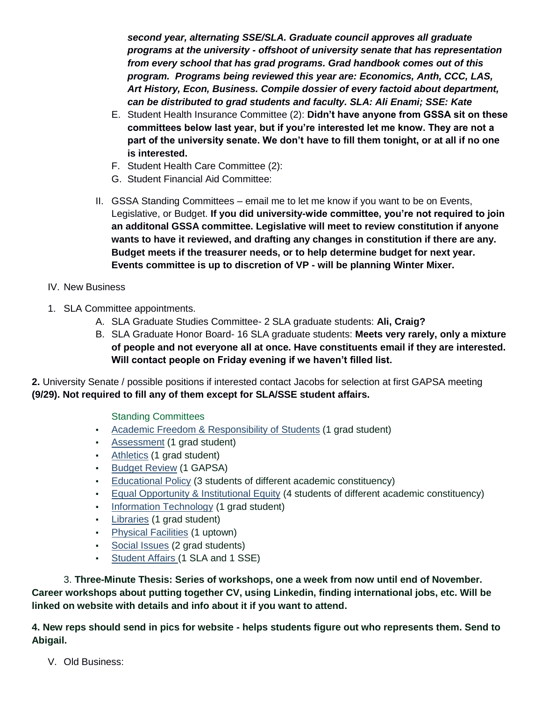*second year, alternating SSE/SLA. Graduate council approves all graduate programs at the university - offshoot of university senate that has representation from every school that has grad programs. Grad handbook comes out of this program. Programs being reviewed this year are: Economics, Anth, CCC, LAS, Art History, Econ, Business. Compile dossier of every factoid about department, can be distributed to grad students and faculty. SLA: Ali Enami; SSE: Kate*

- E. Student Health Insurance Committee (2): **Didn't have anyone from GSSA sit on these committees below last year, but if you're interested let me know. They are not a part of the university senate. We don't have to fill them tonight, or at all if no one is interested.**
- F. Student Health Care Committee (2):
- G. Student Financial Aid Committee:
- II. GSSA Standing Committees email me to let me know if you want to be on Events, Legislative, or Budget. **If you did university-wide committee, you're not required to join an additonal GSSA committee. Legislative will meet to review constitution if anyone wants to have it reviewed, and drafting any changes in constitution if there are any. Budget meets if the treasurer needs, or to help determine budget for next year. Events committee is up to discretion of VP - will be planning Winter Mixer.**
- IV. New Business
- 1. SLA Committee appointments.
	- A. SLA Graduate Studies Committee- 2 SLA graduate students: **Ali, Craig?**
	- B. SLA Graduate Honor Board- 16 SLA graduate students: **Meets very rarely, only a mixture of people and not everyone all at once. Have constituents email if they are interested. Will contact people on Friday evening if we haven't filled list.**

**2.** University Senate / possible positions if interested contact Jacobs for selection at first GAPSA meeting **(9/29). Not required to fill any of them except for SLA/SSE student affairs.** 

Standing Committees

- [Academic Freedom & Responsibility of Students](http://tulane.edu/senate/academic-freedom.cfm) (1 grad student)
- [Assessment](http://tulane.edu/senate/assessment.cfm) (1 grad student)
- [Athletics](http://tulane.edu/senate/athletics.cfm) (1 grad student)
- **[Budget Review](http://tulane.edu/senate/budget.cfm) (1 GAPSA)**
- [Educational Policy](http://tulane.edu/senate/ed-policy.cfm) (3 students of different academic constituency)
- [Equal Opportunity & Institutional Equity](http://tulane.edu/senate/equal-opp.cfm) (4 students of different academic constituency)
- [Information Technology](http://tulane.edu/senate/info-tech.cfm) (1 grad student)
- [Libraries](http://tulane.edu/senate/libraries.cfm) (1 grad student)
- **[Physical Facilities](http://tulane.edu/senate/physical-facilities.cfm) (1 uptown)**
- [Social Issues](http://tulane.edu/senate/social-issues.cfm) (2 grad students)
- [Student Affairs](http://tulane.edu/senate/student-affairs.cfm) (1 SLA and 1 SSE)

3. **Three-Minute Thesis: Series of workshops, one a week from now until end of November. Career workshops about putting together CV, using Linkedin, finding international jobs, etc. Will be linked on website with details and info about it if you want to attend.** 

**4. New reps should send in pics for website - helps students figure out who represents them. Send to Abigail.** 

V. Old Business: